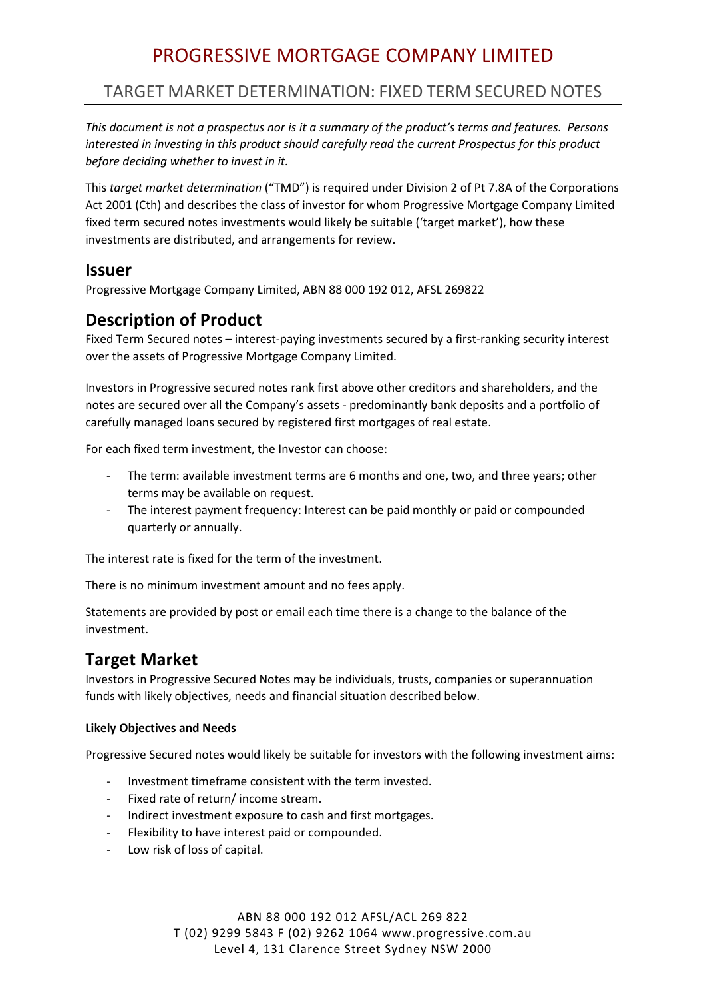# PROGRESSIVE MORTGAGE COMPANY LIMITED

# TARGET MARKET DETERMINATION: FIXED TERM SECURED NOTES

*This document is not a prospectus nor is it a summary of the product's terms and features. Persons interested in investing in this product should carefully read the current Prospectus for this product before deciding whether to invest in it.*

This *target market determination* ("TMD") is required under Division 2 of Pt 7.8A of the Corporations Act 2001 (Cth) and describes the class of investor for whom Progressive Mortgage Company Limited fixed term secured notes investments would likely be suitable ('target market'), how these investments are distributed, and arrangements for review.

### **Issuer**

Progressive Mortgage Company Limited, ABN 88 000 192 012, AFSL 269822

# **Description of Product**

Fixed Term Secured notes – interest-paying investments secured by a first-ranking security interest over the assets of Progressive Mortgage Company Limited.

Investors in Progressive secured notes rank first above other creditors and shareholders, and the notes are secured over all the Company's assets - predominantly bank deposits and a portfolio of carefully managed loans secured by registered first mortgages of real estate.

For each fixed term investment, the Investor can choose:

- The term: available investment terms are 6 months and one, two, and three years; other terms may be available on request.
- The interest payment frequency: Interest can be paid monthly or paid or compounded quarterly or annually.

The interest rate is fixed for the term of the investment.

There is no minimum investment amount and no fees apply.

Statements are provided by post or email each time there is a change to the balance of the investment.

# **Target Market**

Investors in Progressive Secured Notes may be individuals, trusts, companies or superannuation funds with likely objectives, needs and financial situation described below.

#### **Likely Objectives and Needs**

Progressive Secured notes would likely be suitable for investors with the following investment aims:

- Investment timeframe consistent with the term invested.
- Fixed rate of return/ income stream.
- Indirect investment exposure to cash and first mortgages.
- Flexibility to have interest paid or compounded.
- Low risk of loss of capital.